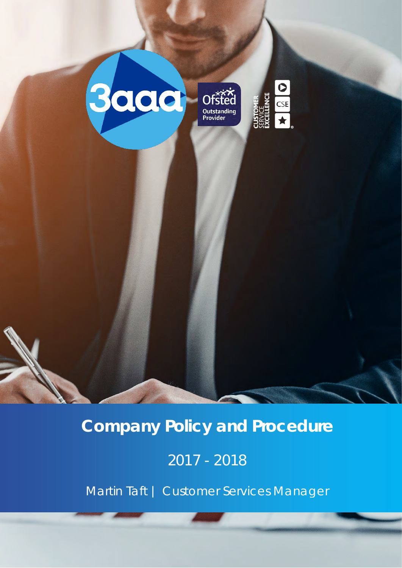



# **Company Policy and Procedure**

# 2017 - 2018

Martin Taft | Customer Services Manager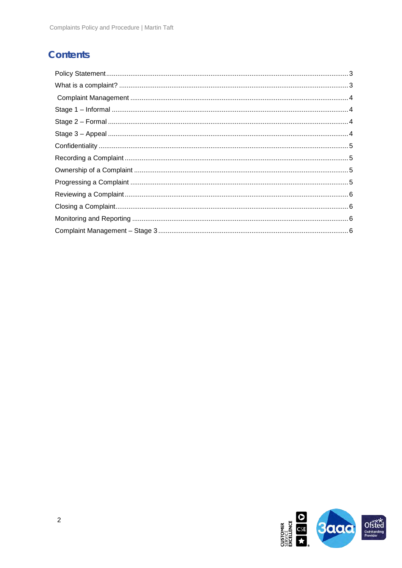## **Contents**

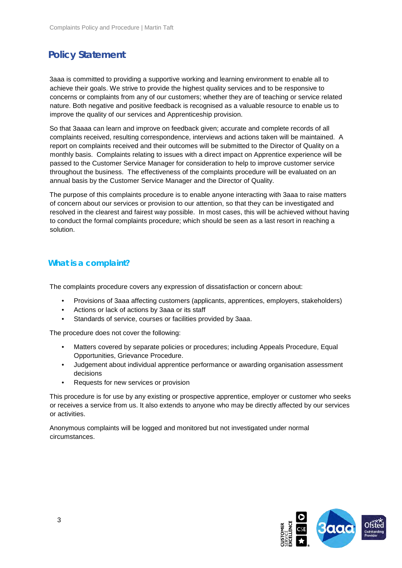# <span id="page-2-0"></span>**Policy Statement**

3aaa is committed to providing a supportive working and learning environment to enable all to achieve their goals. We strive to provide the highest quality services and to be responsive to concerns or complaints from any of our customers; whether they are of teaching or service related nature. Both negative and positive feedback is recognised as a valuable resource to enable us to improve the quality of our services and Apprenticeship provision.

So that 3aaaa can learn and improve on feedback given; accurate and complete records of all complaints received, resulting correspondence, interviews and actions taken will be maintained. A report on complaints received and their outcomes will be submitted to the Director of Quality on a monthly basis. Complaints relating to issues with a direct impact on Apprentice experience will be passed to the Customer Service Manager for consideration to help to improve customer service throughout the business. The effectiveness of the complaints procedure will be evaluated on an annual basis by the Customer Service Manager and the Director of Quality.

The purpose of this complaints procedure is to enable anyone interacting with 3aaa to raise matters of concern about our services or provision to our attention, so that they can be investigated and resolved in the clearest and fairest way possible. In most cases, this will be achieved without having to conduct the formal complaints procedure; which should be seen as a last resort in reaching a solution.

## <span id="page-2-1"></span>**What is a complaint?**

The complaints procedure covers any expression of dissatisfaction or concern about:

- Provisions of 3aaa affecting customers (applicants, apprentices, employers, stakeholders)
- Actions or lack of actions by 3aaa or its staff
- Standards of service, courses or facilities provided by 3aaa.

The procedure does not cover the following:

- Matters covered by separate policies or procedures; including Appeals Procedure, Equal Opportunities, Grievance Procedure.
- Judgement about individual apprentice performance or awarding organisation assessment decisions
- Requests for new services or provision

This procedure is for use by any existing or prospective apprentice, employer or customer who seeks or receives a service from us. It also extends to anyone who may be directly affected by our services or activities.

Anonymous complaints will be logged and monitored but not investigated under normal circumstances.

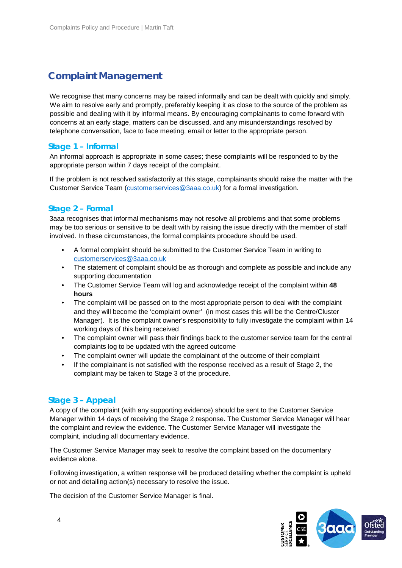## <span id="page-3-0"></span>**Complaint Management**

We recognise that many concerns may be raised informally and can be dealt with quickly and simply. We aim to resolve early and promptly, preferably keeping it as close to the source of the problem as possible and dealing with it by informal means. By encouraging complainants to come forward with concerns at an early stage, matters can be discussed, and any misunderstandings resolved by telephone conversation, face to face meeting, email or letter to the appropriate person.

### <span id="page-3-1"></span>**Stage 1 – Informal**

An informal approach is appropriate in some cases; these complaints will be responded to by the appropriate person within 7 days receipt of the complaint.

If the problem is not resolved satisfactorily at this stage, complainants should raise the matter with the Customer Service Team (customerservices@3aaa.co.uk) for a formal investigation.

### <span id="page-3-2"></span>**Stage 2 – Formal**

3aaa recognises that informal mechanisms may not resolve all problems and that some problems may be too serious or sensitive to be dealt with by raising the issue directly with the member of staff involved. In these circumstances, the formal complaints procedure should be used.

- A formal complaint should be submitted to the Customer Service Team in writing to customerservices@3aaa.co.uk
- The statement of complaint should be as thorough and complete as possible and include any supporting documentation
- The Customer Service Team will log and acknowledge receipt of the complaint within **48 hours**
- The complaint will be passed on to the most appropriate person to deal with the complaint and they will become the 'complaint owner' (in most cases this will be the Centre/Cluster Manager). It is the complaint owner's responsibility to fully investigate the complaint within 14 working days of this being received
- The complaint owner will pass their findings back to the customer service team for the central complaints log to be updated with the agreed outcome
- The complaint owner will update the complainant of the outcome of their complaint
- If the complainant is not satisfied with the response received as a result of Stage 2, the complaint may be taken to Stage 3 of the procedure.

#### <span id="page-3-3"></span>**Stage 3 – Appeal**

A copy of the complaint (with any supporting evidence) should be sent to the Customer Service Manager within 14 days of receiving the Stage 2 response. The Customer Service Manager will hear the complaint and review the evidence. The Customer Service Manager will investigate the complaint, including all documentary evidence.

The Customer Service Manager may seek to resolve the complaint based on the documentary evidence alone.

Following investigation, a written response will be produced detailing whether the complaint is upheld or not and detailing action(s) necessary to resolve the issue.

The decision of the Customer Service Manager is final.

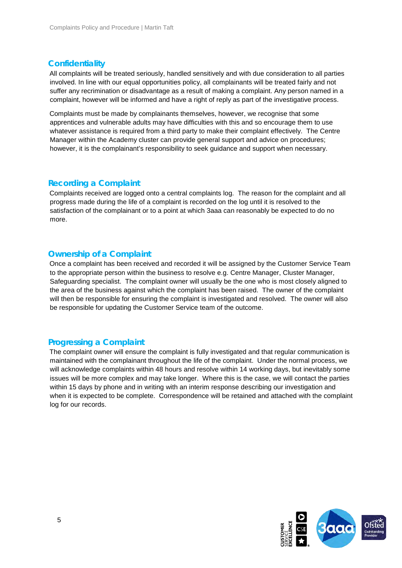### <span id="page-4-0"></span>**Confidentiality**

All complaints will be treated seriously, handled sensitively and with due consideration to all parties involved. In line with our equal opportunities policy, all complainants will be treated fairly and not suffer any recrimination or disadvantage as a result of making a complaint. Any person named in a complaint, however will be informed and have a right of reply as part of the investigative process.

Complaints must be made by complainants themselves, however, we recognise that some apprentices and vulnerable adults may have difficulties with this and so encourage them to use whatever assistance is required from a third party to make their complaint effectively. The Centre Manager within the Academy cluster can provide general support and advice on procedures; however, it is the complainant's responsibility to seek guidance and support when necessary.

### <span id="page-4-1"></span>**Recording a Complaint**

Complaints received are logged onto a central complaints log. The reason for the complaint and all progress made during the life of a complaint is recorded on the log until it is resolved to the satisfaction of the complainant or to a point at which 3aaa can reasonably be expected to do no more.

### <span id="page-4-2"></span>**Ownership of a Complaint**

Once a complaint has been received and recorded it will be assigned by the Customer Service Team to the appropriate person within the business to resolve e.g. Centre Manager, Cluster Manager, Safeguarding specialist. The complaint owner will usually be the one who is most closely aligned to the area of the business against which the complaint has been raised. The owner of the complaint will then be responsible for ensuring the complaint is investigated and resolved. The owner will also be responsible for updating the Customer Service team of the outcome.

### <span id="page-4-3"></span>**Progressing a Complaint**

The complaint owner will ensure the complaint is fully investigated and that regular communication is maintained with the complainant throughout the life of the complaint. Under the normal process, we will acknowledge complaints within 48 hours and resolve within 14 working days, but inevitably some issues will be more complex and may take longer. Where this is the case, we will contact the parties within 15 days by phone and in writing with an interim response describing our investigation and when it is expected to be complete. Correspondence will be retained and attached with the complaint log for our records.